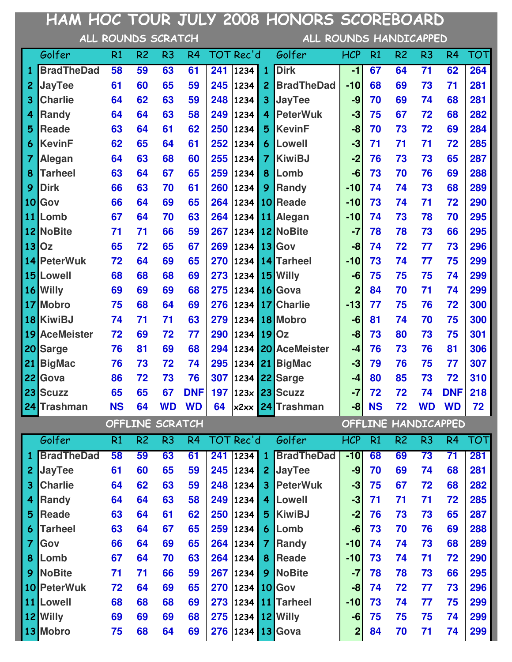|                 | HAM HOC TOUR JULY 2008 HONORS SCOREBOARD |           |                    |                |                |     |               |                |                               |                  |           |                                                                                                                                                                                                                                                                                                                                                                                                                                                                                                                                                                                                                                                                                                                                                                                                                                                                                                                                                                                                                                                                           |    |    |     |
|-----------------|------------------------------------------|-----------|--------------------|----------------|----------------|-----|---------------|----------------|-------------------------------|------------------|-----------|---------------------------------------------------------------------------------------------------------------------------------------------------------------------------------------------------------------------------------------------------------------------------------------------------------------------------------------------------------------------------------------------------------------------------------------------------------------------------------------------------------------------------------------------------------------------------------------------------------------------------------------------------------------------------------------------------------------------------------------------------------------------------------------------------------------------------------------------------------------------------------------------------------------------------------------------------------------------------------------------------------------------------------------------------------------------------|----|----|-----|
|                 |                                          |           | ALL ROUNDS SCRATCH |                |                |     |               |                |                               |                  |           | ALL ROUNDS HANDICAPPED<br>R <sub>2</sub><br>R <sub>3</sub><br>TOT<br>R <sub>4</sub><br>$\overline{71}$<br>64<br>62<br>264<br>73<br>71<br>281<br>69<br>281<br>69<br>74<br>68<br>67<br>72<br>282<br>68<br>73<br>284<br>72<br>69<br>71<br>71<br>72<br>285<br>287<br>73<br>73<br>65<br>70<br>76<br>288<br>69<br>289<br>74<br>73<br>68<br>72<br>290<br>74<br>71<br>295<br>73<br>78<br>70<br>295<br>78<br>73<br>66<br>72<br>73<br>296<br>77<br>299<br>74<br>77<br>75<br>75<br>75<br>74<br>299<br>299<br>70<br>71<br>74<br>75<br>72<br>300<br>76<br>75<br>300<br>74<br>70<br>75<br>301<br>80<br>73<br>306<br>73<br>76<br>81<br>76<br>77<br>307<br>75<br>85<br>72<br>310<br>73<br>218<br><b>DNF</b><br>72<br>74<br>72<br><b>WD</b><br><b>WD</b><br>72<br>OFFLINE HANDICAPPED<br>R <sub>2</sub><br>R <sub>3</sub><br><b>TOT</b><br>R <sub>4</sub><br>69<br>73<br>71<br>281<br>69<br>74<br>68<br>281<br>67<br>72<br>68<br>282<br>71<br>71<br>72<br>285<br>73<br>73<br>65<br>287<br>70<br>76<br>69<br>288<br>289<br>74<br>68<br>73<br>74<br>72<br>290<br>71<br>78<br>73<br>66<br>295 |    |    |     |
|                 | Golfer                                   | R1        | R <sub>2</sub>     | R <sub>3</sub> | R <sub>4</sub> |     | TOT Rec'd     |                | Golfer                        | <b>HCP</b>       | R1        |                                                                                                                                                                                                                                                                                                                                                                                                                                                                                                                                                                                                                                                                                                                                                                                                                                                                                                                                                                                                                                                                           |    |    |     |
| 1               | <b>BradTheDad</b>                        | 58        | 59                 | 63             | 61             | 241 | 1234          | $\mathbf{1}$   | <b>Dirk</b>                   | $-1$             | 67        |                                                                                                                                                                                                                                                                                                                                                                                                                                                                                                                                                                                                                                                                                                                                                                                                                                                                                                                                                                                                                                                                           |    |    |     |
| $\overline{c}$  | <b>JayTee</b>                            | 61        | 60                 | 65             | 59             | 245 | 1234          | $\overline{2}$ | <b>BradTheDad</b>             | $-10$            | 68        |                                                                                                                                                                                                                                                                                                                                                                                                                                                                                                                                                                                                                                                                                                                                                                                                                                                                                                                                                                                                                                                                           |    |    |     |
| 3               | <b>Charlie</b>                           | 64        | 62                 | 63             | 59             | 248 | $\vert$ 1234  | 3 <sup>5</sup> | <b>JayTee</b>                 | -9               | 70        |                                                                                                                                                                                                                                                                                                                                                                                                                                                                                                                                                                                                                                                                                                                                                                                                                                                                                                                                                                                                                                                                           |    |    |     |
| 4               | Randy                                    | 64        | 64                 | 63             | 58             | 249 | 1234          | $\overline{4}$ | <b>PeterWuk</b>               | $-3$             | 75        |                                                                                                                                                                                                                                                                                                                                                                                                                                                                                                                                                                                                                                                                                                                                                                                                                                                                                                                                                                                                                                                                           |    |    |     |
| 5               | <b>Reade</b>                             | 63        | 64                 | 61             | 62             | 250 | 1234          | 5 <sup>1</sup> | <b>KevinF</b>                 | -8               | 70        |                                                                                                                                                                                                                                                                                                                                                                                                                                                                                                                                                                                                                                                                                                                                                                                                                                                                                                                                                                                                                                                                           |    |    |     |
| 6               | <b>KevinF</b>                            | 62        | 65                 | 64             | 61             | 252 | 1234          | 6 <sup>1</sup> | <b>Lowell</b>                 | $-3$             | 71        |                                                                                                                                                                                                                                                                                                                                                                                                                                                                                                                                                                                                                                                                                                                                                                                                                                                                                                                                                                                                                                                                           |    |    |     |
| 7               | Alegan                                   | 64        | 63                 | 68             | 60             | 255 | 1234          | $\overline{7}$ | <b>KiwiBJ</b>                 | $-2$             | 76        |                                                                                                                                                                                                                                                                                                                                                                                                                                                                                                                                                                                                                                                                                                                                                                                                                                                                                                                                                                                                                                                                           |    |    |     |
| 8               | <b>Tarheel</b>                           | 63        | 64                 | 67             | 65             | 259 | 1234          | 8 <sup>1</sup> | Lomb                          | -6               | 73        |                                                                                                                                                                                                                                                                                                                                                                                                                                                                                                                                                                                                                                                                                                                                                                                                                                                                                                                                                                                                                                                                           |    |    |     |
| 9               | <b>Dirk</b>                              | 66        | 63                 | 70             | 61             | 260 | 1234          | 9              | <b>Randy</b>                  | $-10$            | 74        |                                                                                                                                                                                                                                                                                                                                                                                                                                                                                                                                                                                                                                                                                                                                                                                                                                                                                                                                                                                                                                                                           |    |    |     |
| 10 <sup>1</sup> | Gov                                      | 66        | 64                 | 69             | 65             | 264 | 1234          |                | 10 Reade                      | $-10$            | 73        |                                                                                                                                                                                                                                                                                                                                                                                                                                                                                                                                                                                                                                                                                                                                                                                                                                                                                                                                                                                                                                                                           |    |    |     |
| 11              | Lomb                                     | 67        | 64                 | 70             | 63             | 264 | 1234          |                | 11 Alegan                     | $-10$            | 74        |                                                                                                                                                                                                                                                                                                                                                                                                                                                                                                                                                                                                                                                                                                                                                                                                                                                                                                                                                                                                                                                                           |    |    |     |
|                 | 12 NoBite                                | 71        | 71                 | 66             | 59             | 267 |               |                | 1234 12 NoBite                | $-7$             | 78        |                                                                                                                                                                                                                                                                                                                                                                                                                                                                                                                                                                                                                                                                                                                                                                                                                                                                                                                                                                                                                                                                           |    |    |     |
|                 | 13 Oz                                    | 65        | 72                 | 65             | 67             | 269 | 1234 13 Gov   |                |                               | -8               | 74        |                                                                                                                                                                                                                                                                                                                                                                                                                                                                                                                                                                                                                                                                                                                                                                                                                                                                                                                                                                                                                                                                           |    |    |     |
| 14              | <b>PeterWuk</b>                          | 72        | 64                 | 69             | 65             | 270 |               |                | 1234 14 Tarheel               | $-10$            | 73        |                                                                                                                                                                                                                                                                                                                                                                                                                                                                                                                                                                                                                                                                                                                                                                                                                                                                                                                                                                                                                                                                           |    |    |     |
|                 | 15 Lowell                                | 68        | 68                 | 68             | 69             | 273 | 1234          |                | 15 Willy                      | -6               | 75        |                                                                                                                                                                                                                                                                                                                                                                                                                                                                                                                                                                                                                                                                                                                                                                                                                                                                                                                                                                                                                                                                           |    |    |     |
|                 | 16 Willy                                 | 69        | 69                 | 69             | 68             | 275 | 1234          |                | 16 Gova                       | $\mathbf{2}$     | 84        |                                                                                                                                                                                                                                                                                                                                                                                                                                                                                                                                                                                                                                                                                                                                                                                                                                                                                                                                                                                                                                                                           |    |    |     |
|                 | 17 Mobro                                 | 75        | 68                 | 64             | 69             | 276 | 1234          |                | 17 Charlie                    | $-13$            | 77        |                                                                                                                                                                                                                                                                                                                                                                                                                                                                                                                                                                                                                                                                                                                                                                                                                                                                                                                                                                                                                                                                           |    |    |     |
|                 | 18 KiwiBJ                                | 74        | 71                 | 71             | 63             | 279 |               |                | 1234 18 Mobro                 | -6               | 81        |                                                                                                                                                                                                                                                                                                                                                                                                                                                                                                                                                                                                                                                                                                                                                                                                                                                                                                                                                                                                                                                                           |    |    |     |
| 19              | <b>AceMeister</b>                        | 72        | 69                 | 72             | 77             | 290 | 1234          |                | $19$ Oz                       | -8               | 73        |                                                                                                                                                                                                                                                                                                                                                                                                                                                                                                                                                                                                                                                                                                                                                                                                                                                                                                                                                                                                                                                                           |    |    |     |
| 20              | <b>Sarge</b>                             | 76        | 81                 | 69             | 68             | 294 | 1234          |                | 20 AceMeister                 | $-4$             | 76        |                                                                                                                                                                                                                                                                                                                                                                                                                                                                                                                                                                                                                                                                                                                                                                                                                                                                                                                                                                                                                                                                           |    |    |     |
| 21              | <b>BigMac</b>                            | 76        | 73                 | 72             | 74             | 295 | 1234          |                | 21 BigMac                     | $-3$             | 79        |                                                                                                                                                                                                                                                                                                                                                                                                                                                                                                                                                                                                                                                                                                                                                                                                                                                                                                                                                                                                                                                                           |    |    |     |
|                 | 22 Gova                                  | 86        | 72                 | 73             | 76             | 307 |               |                | 1234 22 Sarge                 | $-4$             | 80        |                                                                                                                                                                                                                                                                                                                                                                                                                                                                                                                                                                                                                                                                                                                                                                                                                                                                                                                                                                                                                                                                           |    |    |     |
|                 | 23 Scuzz                                 | 65        | 65                 | 67             | <b>DNF</b>     |     |               |                | 197 123x 23 Scuzz             | $-7$             | 72        |                                                                                                                                                                                                                                                                                                                                                                                                                                                                                                                                                                                                                                                                                                                                                                                                                                                                                                                                                                                                                                                                           |    |    |     |
|                 | 24 Trashman                              | <b>NS</b> | 64                 | <b>WD</b>      | <b>WD</b>      |     |               |                | 64 $x^2 \times x$ 24 Trashman | $-8$             | <b>NS</b> |                                                                                                                                                                                                                                                                                                                                                                                                                                                                                                                                                                                                                                                                                                                                                                                                                                                                                                                                                                                                                                                                           |    |    |     |
|                 |                                          |           | OFFLINE SCRATCH    |                |                |     |               |                |                               |                  |           |                                                                                                                                                                                                                                                                                                                                                                                                                                                                                                                                                                                                                                                                                                                                                                                                                                                                                                                                                                                                                                                                           |    |    |     |
|                 | Golfer                                   | R1        | R <sub>2</sub>     | R <sub>3</sub> | R <sub>4</sub> |     | TOT Rec'd     |                | Golfer                        | <b>HCP</b>       | R1        |                                                                                                                                                                                                                                                                                                                                                                                                                                                                                                                                                                                                                                                                                                                                                                                                                                                                                                                                                                                                                                                                           |    |    |     |
| 1               | <b>BradTheDad</b>                        | 58        | 59                 | 63             | 61             |     | 241 1234 1    |                | <b>BradTheDad</b>             | $-10$            | 68        |                                                                                                                                                                                                                                                                                                                                                                                                                                                                                                                                                                                                                                                                                                                                                                                                                                                                                                                                                                                                                                                                           |    |    |     |
| $\overline{c}$  | <b>JayTee</b>                            | 61        | 60                 | 65             | 59             |     | $245$ 1234    | 2 <sup>1</sup> | <b>JayTee</b>                 | $-9$             | 70        |                                                                                                                                                                                                                                                                                                                                                                                                                                                                                                                                                                                                                                                                                                                                                                                                                                                                                                                                                                                                                                                                           |    |    |     |
| 3               | <b>Charlie</b>                           | 64        | 62                 | 63             | 59             |     | 248 1234      | 3 <sup>1</sup> | <b>PeterWuk</b>               | $-3$             | 75        |                                                                                                                                                                                                                                                                                                                                                                                                                                                                                                                                                                                                                                                                                                                                                                                                                                                                                                                                                                                                                                                                           |    |    |     |
| 4               | <b>Randy</b>                             | 64        | 64                 | 63             | 58             | 249 | $\vert$ 1234  |                | 4 Lowell                      | $-3$             | 71        |                                                                                                                                                                                                                                                                                                                                                                                                                                                                                                                                                                                                                                                                                                                                                                                                                                                                                                                                                                                                                                                                           |    |    |     |
| 5               | <b>Reade</b>                             | 63        | 64                 | 61             | 62             | 250 | $\vert$ 1234  | 5 <sub>1</sub> | <b>KiwiBJ</b>                 | $-2$             | 76        |                                                                                                                                                                                                                                                                                                                                                                                                                                                                                                                                                                                                                                                                                                                                                                                                                                                                                                                                                                                                                                                                           |    |    |     |
| 6               | <b>Tarheel</b>                           | 63        | 64                 | 67             | 65             | 259 | 1234          |                | 6 Lomb                        | -6               | 73        |                                                                                                                                                                                                                                                                                                                                                                                                                                                                                                                                                                                                                                                                                                                                                                                                                                                                                                                                                                                                                                                                           |    |    |     |
| 7               | Gov                                      | 66        | 64                 | 69             | 65             | 264 | $\vert$ 1234  | $\mathbf{7}$   | <b>Randy</b>                  | $-10$            | 74        |                                                                                                                                                                                                                                                                                                                                                                                                                                                                                                                                                                                                                                                                                                                                                                                                                                                                                                                                                                                                                                                                           |    |    |     |
| 8               | Lomb                                     | 67        | 64                 | 70             | 63             |     | 264 1234      | 8 <sup>1</sup> | <b>Reade</b>                  | $-10$            | 73        |                                                                                                                                                                                                                                                                                                                                                                                                                                                                                                                                                                                                                                                                                                                                                                                                                                                                                                                                                                                                                                                                           |    |    |     |
| 9               | <b>NoBite</b>                            | 71        | 71                 | 66             | 59             | 267 | 1234          |                | 9 NoBite                      | $-7$             | 78        |                                                                                                                                                                                                                                                                                                                                                                                                                                                                                                                                                                                                                                                                                                                                                                                                                                                                                                                                                                                                                                                                           |    |    |     |
|                 | 10 PeterWuk                              | 72        | 64                 | 69             | 65             | 270 | 1234 10 Gov   |                |                               | -8               | 74        | 72                                                                                                                                                                                                                                                                                                                                                                                                                                                                                                                                                                                                                                                                                                                                                                                                                                                                                                                                                                                                                                                                        | 77 | 73 | 296 |
|                 | 11 Lowell                                | 68        | 68                 | 68             | 69             | 273 |               |                | $1234$ 11 Tarheel             | $-10$            | 73        | 74                                                                                                                                                                                                                                                                                                                                                                                                                                                                                                                                                                                                                                                                                                                                                                                                                                                                                                                                                                                                                                                                        | 77 | 75 | 299 |
|                 | 12 Willy                                 | 69        | 69                 | 69             | 68             | 275 | 1234 12 Willy |                |                               | -6               | 75        | 75                                                                                                                                                                                                                                                                                                                                                                                                                                                                                                                                                                                                                                                                                                                                                                                                                                                                                                                                                                                                                                                                        | 75 | 74 | 299 |
|                 | 13 Mobro                                 | 75        | 68                 | 64             | 69             |     |               |                | 276 1234 13 Gova              | $\boldsymbol{2}$ | 84        | 70                                                                                                                                                                                                                                                                                                                                                                                                                                                                                                                                                                                                                                                                                                                                                                                                                                                                                                                                                                                                                                                                        | 71 | 74 | 299 |